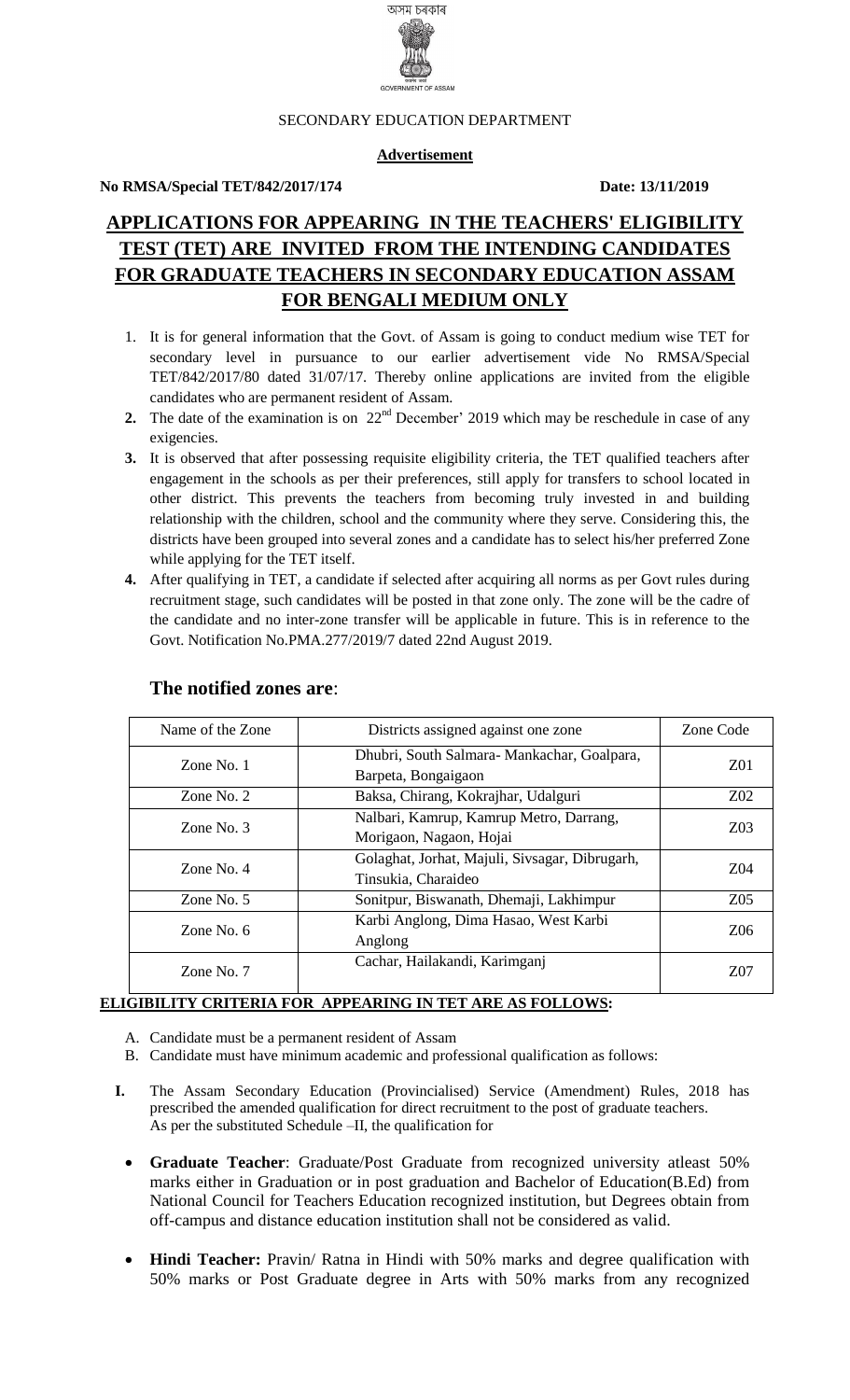

#### SECONDARY EDUCATION DEPARTMENT

#### **Advertisement**

#### **No RMSA/Special TET/842/2017/174 Date: 13/11/2019**

# **APPLICATIONS FOR APPEARING IN THE TEACHERS' ELIGIBILITY TEST (TET) ARE INVITED FROM THE INTENDING CANDIDATES FOR GRADUATE TEACHERS IN SECONDARY EDUCATION ASSAM FOR BENGALI MEDIUM ONLY**

- 1. It is for general information that the Govt. of Assam is going to conduct medium wise TET for secondary level in pursuance to our earlier advertisement vide No RMSA/Special TET/842/2017/80 dated 31/07/17. Thereby online applications are invited from the eligible candidates who are permanent resident of Assam.
- 2. The date of the examination is on 22<sup>nd</sup> December' 2019 which may be reschedule in case of any exigencies.
- **3.** It is observed that after possessing requisite eligibility criteria, the TET qualified teachers after engagement in the schools as per their preferences, still apply for transfers to school located in other district. This prevents the teachers from becoming truly invested in and building relationship with the children, school and the community where they serve. Considering this, the districts have been grouped into several zones and a candidate has to select his/her preferred Zone while applying for the TET itself.
- **4.** After qualifying in TET, a candidate if selected after acquiring all norms as per Govt rules during recruitment stage, such candidates will be posted in that zone only. The zone will be the cadre of the candidate and no inter-zone transfer will be applicable in future. This is in reference to the Govt. Notification No.PMA.277/2019/7 dated 22nd August 2019.

| Name of the Zone                                                 | Districts assigned against one zone                                   |                 |
|------------------------------------------------------------------|-----------------------------------------------------------------------|-----------------|
| Zone No. 1                                                       | Dhubri, South Salmara-Mankachar, Goalpara,<br>Barpeta, Bongaigaon     | Z <sub>01</sub> |
| Zone No. $2$                                                     | Baksa, Chirang, Kokrajhar, Udalguri                                   | $Z_{02}$        |
| Zone No. $3$                                                     | Nalbari, Kamrup, Kamrup Metro, Darrang,<br>Morigaon, Nagaon, Hojai    |                 |
| Zone No. $4$                                                     | Golaghat, Jorhat, Majuli, Sivsagar, Dibrugarh,<br>Tinsukia, Charaideo |                 |
| Zone No. 5                                                       | Sonitpur, Biswanath, Dhemaji, Lakhimpur                               | Z <sub>05</sub> |
| Karbi Anglong, Dima Hasao, West Karbi<br>Zone No. $6$<br>Anglong |                                                                       | Z <sub>06</sub> |
| Zone No. $7$                                                     | Cachar, Hailakandi, Karimganj                                         | Z07             |

#### **The notified zones are**:

#### **ELIGIBILITY CRITERIA FOR APPEARING IN TET ARE AS FOLLOWS:**

- A. Candidate must be a permanent resident of Assam
- B. Candidate must have minimum academic and professional qualification as follows:
- **I.** The Assam Secondary Education (Provincialised) Service (Amendment) Rules, 2018 has prescribed the amended qualification for direct recruitment to the post of graduate teachers. As per the substituted Schedule –II, the qualification for
	- **Graduate Teacher**: Graduate/Post Graduate from recognized university atleast 50% marks either in Graduation or in post graduation and Bachelor of Education(B.Ed) from National Council for Teachers Education recognized institution, but Degrees obtain from off-campus and distance education institution shall not be considered as valid.
	- **Hindi Teacher:** Pravin/ Ratna in Hindi with 50% marks and degree qualification with 50% marks or Post Graduate degree in Arts with 50% marks from any recognized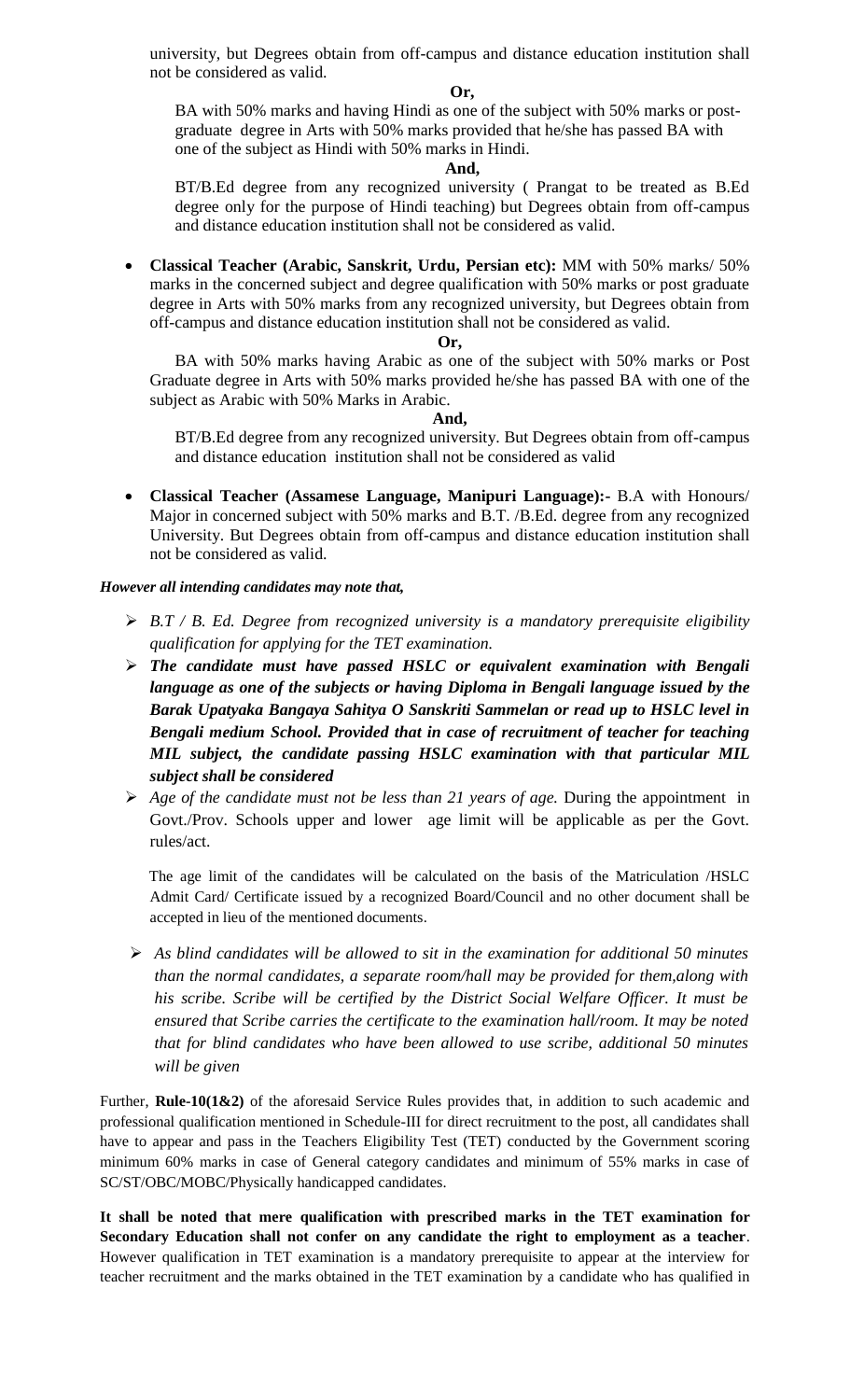university, but Degrees obtain from off-campus and distance education institution shall not be considered as valid.

#### **Or,**

BA with 50% marks and having Hindi as one of the subject with 50% marks or postgraduate degree in Arts with 50% marks provided that he/she has passed BA with one of the subject as Hindi with 50% marks in Hindi.

#### **And,**

BT/B.Ed degree from any recognized university ( Prangat to be treated as B.Ed degree only for the purpose of Hindi teaching) but Degrees obtain from off-campus and distance education institution shall not be considered as valid.

 **Classical Teacher (Arabic, Sanskrit, Urdu, Persian etc):** MM with 50% marks/ 50% marks in the concerned subject and degree qualification with 50% marks or post graduate degree in Arts with 50% marks from any recognized university, but Degrees obtain from off-campus and distance education institution shall not be considered as valid.

#### **Or,**

BA with 50% marks having Arabic as one of the subject with 50% marks or Post Graduate degree in Arts with 50% marks provided he/she has passed BA with one of the subject as Arabic with 50% Marks in Arabic.

#### **And,**

BT/B.Ed degree from any recognized university. But Degrees obtain from off-campus and distance education institution shall not be considered as valid

 **Classical Teacher (Assamese Language, Manipuri Language):-** B.A with Honours/ Major in concerned subject with 50% marks and B.T. /B.Ed. degree from any recognized University. But Degrees obtain from off-campus and distance education institution shall not be considered as valid.

#### *However all intending candidates may note that,*

- *B.T / B. Ed. Degree from recognized university is a mandatory prerequisite eligibility qualification for applying for the TET examination.*
- *The candidate must have passed HSLC or equivalent examination with Bengali language as one of the subjects or having Diploma in Bengali language issued by the Barak Upatyaka Bangaya Sahitya O Sanskriti Sammelan or read up to HSLC level in Bengali medium School. Provided that in case of recruitment of teacher for teaching MIL subject, the candidate passing HSLC examination with that particular MIL subject shall be considered*
- *Age of the candidate must not be less than 21 years of age.* During the appointment in Govt./Prov. Schools upper and lower age limit will be applicable as per the Govt. rules/act.

The age limit of the candidates will be calculated on the basis of the Matriculation /HSLC Admit Card/ Certificate issued by a recognized Board/Council and no other document shall be accepted in lieu of the mentioned documents.

 *As blind candidates will be allowed to sit in the examination for additional 50 minutes than the normal candidates, a separate room/hall may be provided for them,along with his scribe. Scribe will be certified by the District Social Welfare Officer. It must be ensured that Scribe carries the certificate to the examination hall/room. It may be noted that for blind candidates who have been allowed to use scribe, additional 50 minutes will be given*

Further, **Rule-10(1&2)** of the aforesaid Service Rules provides that, in addition to such academic and professional qualification mentioned in Schedule-III for direct recruitment to the post, all candidates shall have to appear and pass in the Teachers Eligibility Test (TET) conducted by the Government scoring minimum 60% marks in case of General category candidates and minimum of 55% marks in case of SC/ST/OBC/MOBC/Physically handicapped candidates.

**It shall be noted that mere qualification with prescribed marks in the TET examination for Secondary Education shall not confer on any candidate the right to employment as a teacher**. However qualification in TET examination is a mandatory prerequisite to appear at the interview for teacher recruitment and the marks obtained in the TET examination by a candidate who has qualified in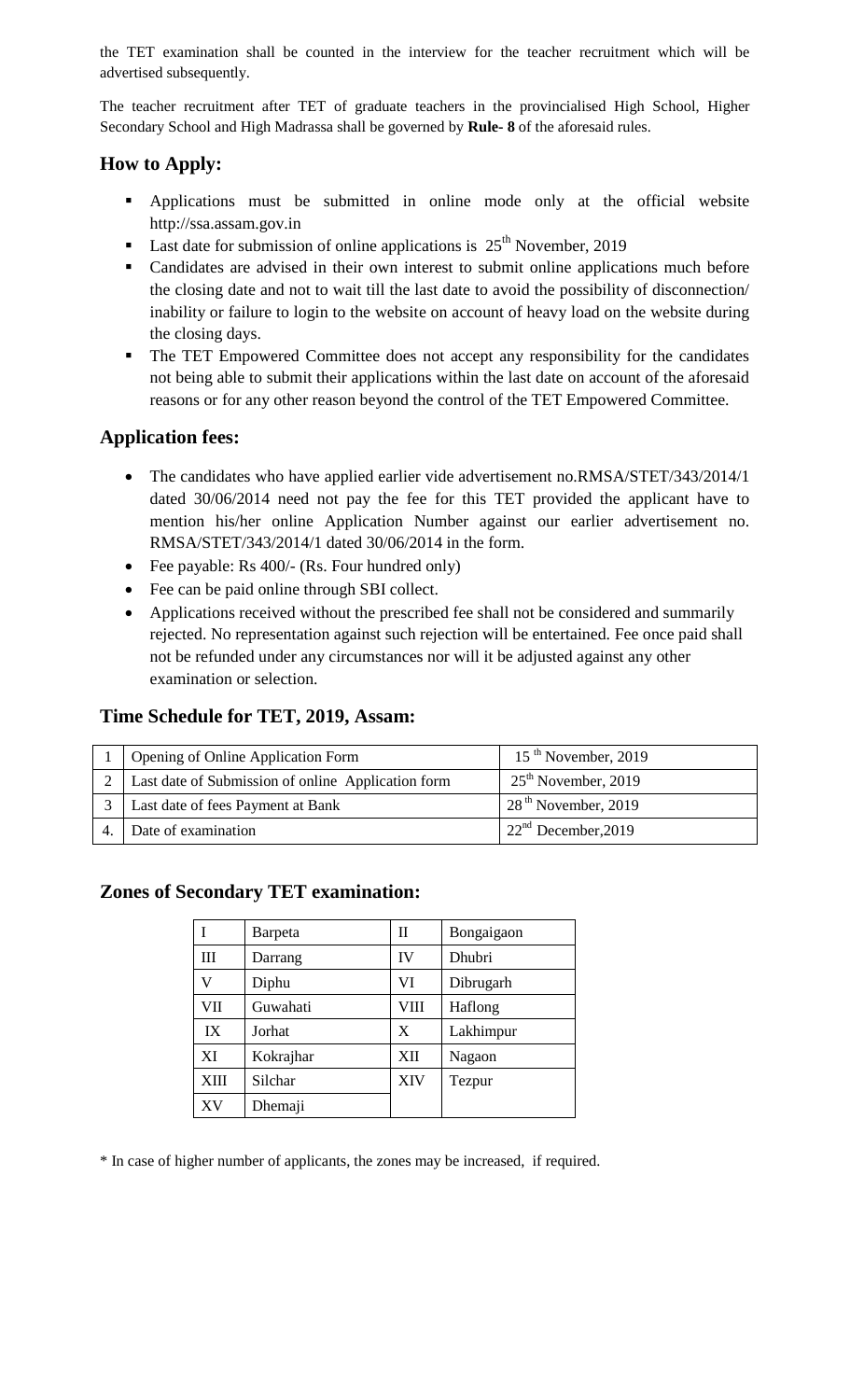the TET examination shall be counted in the interview for the teacher recruitment which will be advertised subsequently.

The teacher recruitment after TET of graduate teachers in the provincialised High School, Higher Secondary School and High Madrassa shall be governed by **Rule- 8** of the aforesaid rules.

# **How to Apply:**

- Applications must be submitted in online mode only at the official website http://ssa.assam.gov.in
- **Last date for submission of online applications is**  $25<sup>th</sup>$  **November, 2019**
- Candidates are advised in their own interest to submit online applications much before the closing date and not to wait till the last date to avoid the possibility of disconnection/ inability or failure to login to the website on account of heavy load on the website during the closing days.
- The TET Empowered Committee does not accept any responsibility for the candidates not being able to submit their applications within the last date on account of the aforesaid reasons or for any other reason beyond the control of the TET Empowered Committee.

## **Application fees:**

- The candidates who have applied earlier vide advertisement no.RMSA/STET/343/2014/1 dated 30/06/2014 need not pay the fee for this TET provided the applicant have to mention his/her online Application Number against our earlier advertisement no. RMSA/STET/343/2014/1 dated 30/06/2014 in the form.
- Fee payable: Rs 400/- (Rs. Four hundred only)
- Fee can be paid online through SBI collect.
- Applications received without the prescribed fee shall not be considered and summarily rejected. No representation against such rejection will be entertained. Fee once paid shall not be refunded under any circumstances nor will it be adjusted against any other examination or selection.

## **Time Schedule for TET, 2019, Assam:**

| Opening of Online Application Form                     | $15th$ November, 2019 |  |
|--------------------------------------------------------|-----------------------|--|
| 2   Last date of Submission of online Application form | $25th$ November, 2019 |  |
| Last date of fees Payment at Bank                      | $28th$ November, 2019 |  |
| Date of examination                                    | $22nd$ December, 2019 |  |

## **Zones of Secondary TET examination:**

|             | <b>Barpeta</b> | П         | Bongaigaon |
|-------------|----------------|-----------|------------|
| Ш           | Darrang        | <b>IV</b> | Dhubri     |
| V           | Diphu          | VI        | Dibrugarh  |
| VII         | Guwahati       | VIII      | Haflong    |
| IX          | Jorhat         | X         | Lakhimpur  |
| XI          | Kokrajhar      | XII       | Nagaon     |
| <b>XIII</b> | Silchar        | XIV       | Tezpur     |
| XV          | Dhemaji        |           |            |

\* In case of higher number of applicants, the zones may be increased, if required.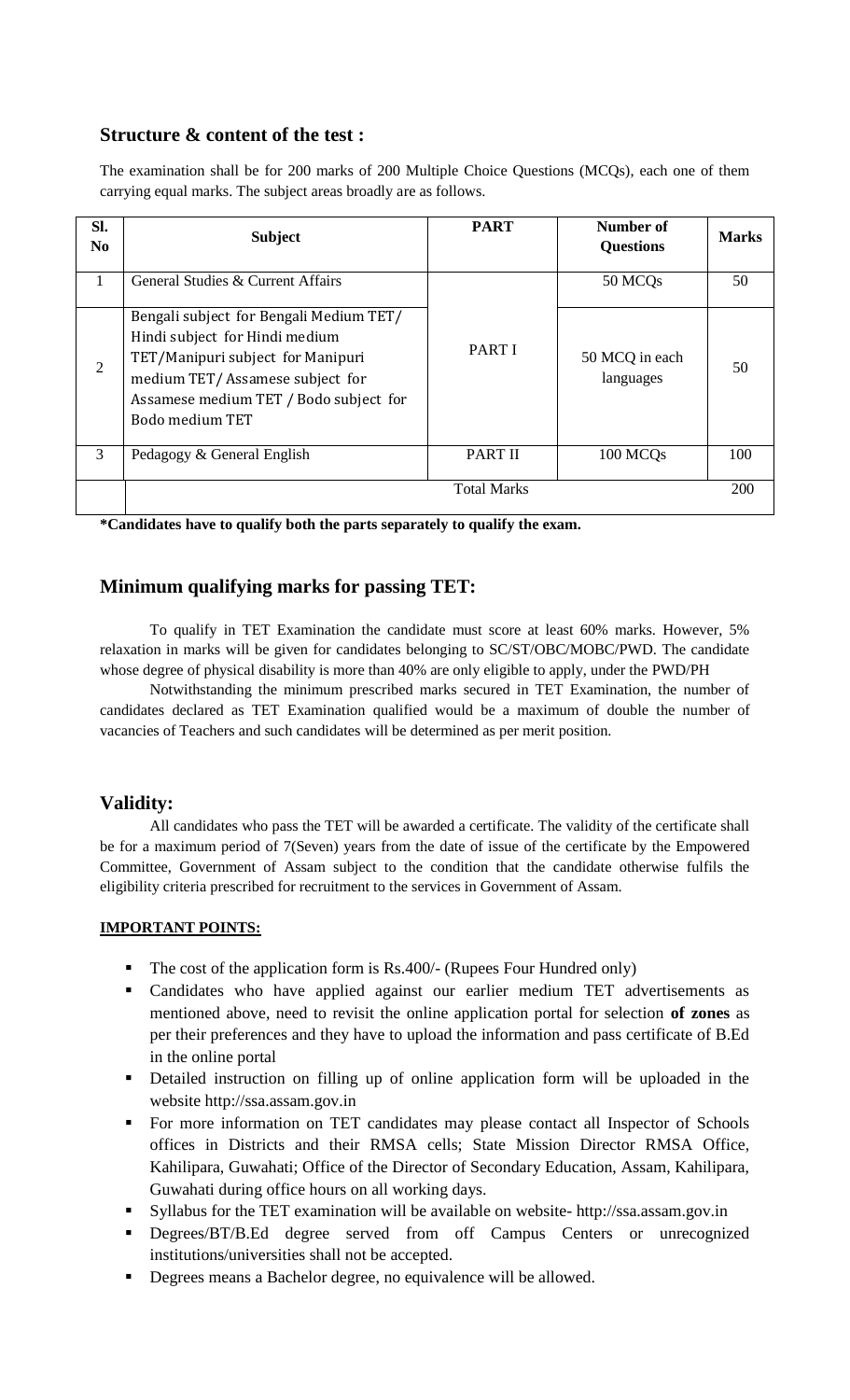## **Structure & content of the test :**

The examination shall be for 200 marks of 200 Multiple Choice Questions (MCQs), each one of them carrying equal marks. The subject areas broadly are as follows.

| Sl.<br>N <sub>0</sub> | <b>Subject</b>                                                                                                                                                                                                 | <b>PART</b>        | Number of<br><b>Questions</b> | <b>Marks</b> |
|-----------------------|----------------------------------------------------------------------------------------------------------------------------------------------------------------------------------------------------------------|--------------------|-------------------------------|--------------|
| 1                     | General Studies & Current Affairs                                                                                                                                                                              |                    | 50 MCQ <sub>s</sub>           | 50           |
| 2                     | Bengali subject for Bengali Medium TET/<br>Hindi subject for Hindi medium<br>TET/Manipuri subject for Manipuri<br>medium TET/Assamese subject for<br>Assamese medium TET / Bodo subject for<br>Bodo medium TET | <b>PART I</b>      | 50 MCQ in each<br>languages   | 50           |
| 3                     | Pedagogy & General English                                                                                                                                                                                     | <b>PART II</b>     | 100 MCQ <sub>s</sub>          | 100          |
|                       |                                                                                                                                                                                                                | <b>Total Marks</b> |                               | 200          |

**\*Candidates have to qualify both the parts separately to qualify the exam.**

## **Minimum qualifying marks for passing TET:**

To qualify in TET Examination the candidate must score at least 60% marks. However, 5% relaxation in marks will be given for candidates belonging to SC/ST/OBC/MOBC/PWD. The candidate whose degree of physical disability is more than 40% are only eligible to apply, under the PWD/PH

Notwithstanding the minimum prescribed marks secured in TET Examination, the number of candidates declared as TET Examination qualified would be a maximum of double the number of vacancies of Teachers and such candidates will be determined as per merit position.

## **Validity:**

All candidates who pass the TET will be awarded a certificate. The validity of the certificate shall be for a maximum period of 7(Seven) years from the date of issue of the certificate by the Empowered Committee, Government of Assam subject to the condition that the candidate otherwise fulfils the eligibility criteria prescribed for recruitment to the services in Government of Assam.

#### **IMPORTANT POINTS:**

- $\blacksquare$  The cost of the application form is Rs.400/- (Rupees Four Hundred only)
- Candidates who have applied against our earlier medium TET advertisements as mentioned above, need to revisit the online application portal for selection **of zones** as per their preferences and they have to upload the information and pass certificate of B.Ed in the online portal
- Detailed instruction on filling up of online application form will be uploaded in the website http://ssa.assam.gov.in
- For more information on TET candidates may please contact all Inspector of Schools offices in Districts and their RMSA cells; State Mission Director RMSA Office, Kahilipara, Guwahati; Office of the Director of Secondary Education, Assam, Kahilipara, Guwahati during office hours on all working days.
- Syllabus for the TET examination will be available on website- http://ssa.assam.gov.in
- **Degrees/BT/B.Ed degree served from off Campus Centers or unrecognized** institutions/universities shall not be accepted.
- Degrees means a Bachelor degree, no equivalence will be allowed.